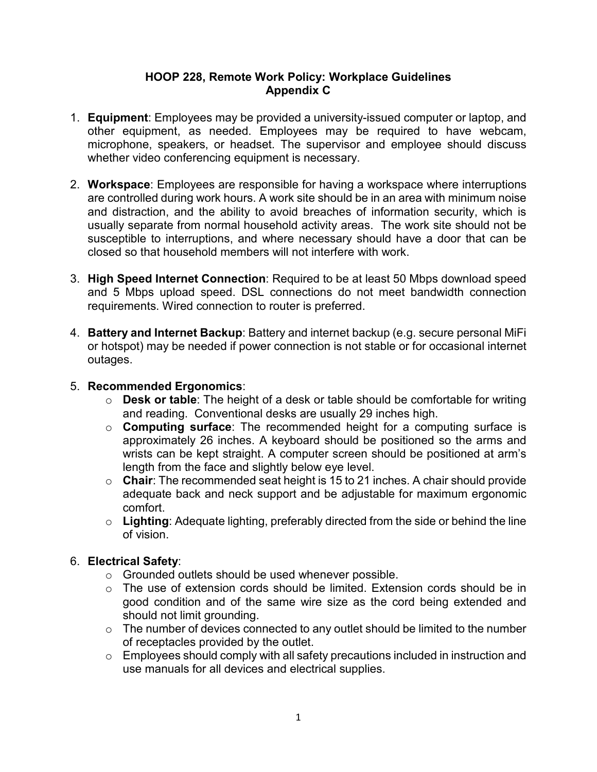## **HOOP 228, Remote Work Policy: Workplace Guidelines Appendix C**

- 1. **Equipment**: Employees may be provided a university-issued computer or laptop, and other equipment, as needed. Employees may be required to have webcam, microphone, speakers, or headset. The supervisor and employee should discuss whether video conferencing equipment is necessary.
- 2. **Workspace**: Employees are responsible for having a workspace where interruptions are controlled during work hours. A work site should be in an area with minimum noise and distraction, and the ability to avoid breaches of information security, which is usually separate from normal household activity areas. The work site should not be susceptible to interruptions, and where necessary should have a door that can be closed so that household members will not interfere with work.
- 3. **High Speed Internet Connection**: Required to be at least 50 Mbps download speed and 5 Mbps upload speed. DSL connections do not meet bandwidth connection requirements. Wired connection to router is preferred.
- 4. **Battery and Internet Backup**: Battery and internet backup (e.g. secure personal MiFi or hotspot) may be needed if power connection is not stable or for occasional internet outages.

## 5. **Recommended Ergonomics**:

- o **Desk or table**: The height of a desk or table should be comfortable for writing and reading. Conventional desks are usually 29 inches high.
- o **Computing surface**: The recommended height for a computing surface is approximately 26 inches. A keyboard should be positioned so the arms and wrists can be kept straight. A computer screen should be positioned at arm's length from the face and slightly below eye level.
- o **Chair**: The recommended seat height is 15 to 21 inches. A chair should provide adequate back and neck support and be adjustable for maximum ergonomic comfort.
- o **Lighting**: Adequate lighting, preferably directed from the side or behind the line of vision.

## 6. **Electrical Safety**:

- o Grounded outlets should be used whenever possible.
- o The use of extension cords should be limited. Extension cords should be in good condition and of the same wire size as the cord being extended and should not limit grounding.
- $\circ$  The number of devices connected to any outlet should be limited to the number of receptacles provided by the outlet.
- o Employees should comply with all safety precautions included in instruction and use manuals for all devices and electrical supplies.